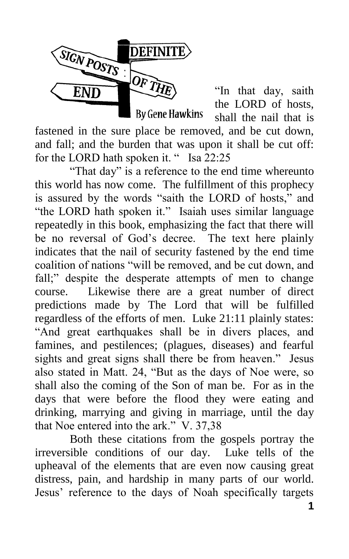

"In that day, saith the LORD of hosts, shall the nail that is

fastened in the sure place be removed, and be cut down, and fall; and the burden that was upon it shall be cut off: for the LORD hath spoken it. " Isa 22:25

"That day" is a reference to the end time whereunto this world has now come. The fulfillment of this prophecy is assured by the words "saith the LORD of hosts," and "the LORD hath spoken it." Isaiah uses similar language repeatedly in this book, emphasizing the fact that there will be no reversal of God's decree. The text here plainly indicates that the nail of security fastened by the end time coalition of nations "will be removed, and be cut down, and fall;" despite the desperate attempts of men to change course. Likewise there are a great number of direct predictions made by The Lord that will be fulfilled regardless of the efforts of men. Luke 21:11 plainly states: "And great earthquakes shall be in divers places, and famines, and pestilences; (plagues, diseases) and fearful sights and great signs shall there be from heaven." Jesus also stated in Matt. 24, "But as the days of Noe were, so shall also the coming of the Son of man be. For as in the days that were before the flood they were eating and drinking, marrying and giving in marriage, until the day that Noe entered into the ark."  $V. 37,38$ 

Both these citations from the gospels portray the irreversible conditions of our day. Luke tells of the upheaval of the elements that are even now causing great distress, pain, and hardship in many parts of our world. Jesus' reference to the days of Noah specifically targets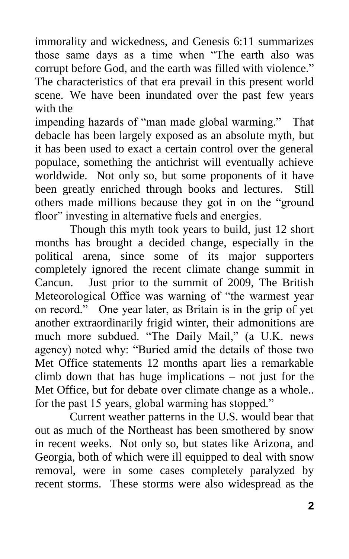immorality and wickedness, and Genesis 6:11 summarizes those same days as a time when "The earth also was corrupt before God, and the earth was filled with violence." The characteristics of that era prevail in this present world scene. We have been inundated over the past few years with the

impending hazards of "man made global warming." That debacle has been largely exposed as an absolute myth, but it has been used to exact a certain control over the general populace, something the antichrist will eventually achieve worldwide. Not only so, but some proponents of it have been greatly enriched through books and lectures. Still others made millions because they got in on the "ground" floor" investing in alternative fuels and energies.

Though this myth took years to build, just 12 short months has brought a decided change, especially in the political arena, since some of its major supporters completely ignored the recent climate change summit in Cancun. Just prior to the summit of 2009, The British Meteorological Office was warning of "the warmest year on record." One year later, as Britain is in the grip of yet another extraordinarily frigid winter, their admonitions are much more subdued. "The Daily Mail," (a U.K. news agency) noted why: "Buried amid the details of those two Met Office statements 12 months apart lies a remarkable climb down that has huge implications – not just for the Met Office, but for debate over climate change as a whole.. for the past 15 years, global warming has stopped."

Current weather patterns in the U.S. would bear that out as much of the Northeast has been smothered by snow in recent weeks. Not only so, but states like Arizona, and Georgia, both of which were ill equipped to deal with snow removal, were in some cases completely paralyzed by recent storms. These storms were also widespread as the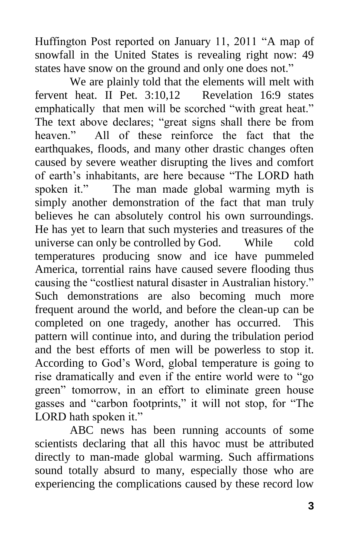Huffington Post reported on January 11, 2011 "A map of snowfall in the United States is revealing right now: 49 states have snow on the ground and only one does not."

We are plainly told that the elements will melt with fervent heat. II Pet. 3:10,12 Revelation 16:9 states emphatically that men will be scorched "with great heat." The text above declares; "great signs shall there be from heaven." All of these reinforce the fact that the earthquakes, floods, and many other drastic changes often caused by severe weather disrupting the lives and comfort of earth's inhabitants, are here because "The LORD hath spoken it." The man made global warming myth is simply another demonstration of the fact that man truly believes he can absolutely control his own surroundings. He has yet to learn that such mysteries and treasures of the universe can only be controlled by God. While cold temperatures producing snow and ice have pummeled America, torrential rains have caused severe flooding thus causing the "costliest natural disaster in Australian history." Such demonstrations are also becoming much more frequent around the world, and before the clean-up can be completed on one tragedy, another has occurred. This pattern will continue into, and during the tribulation period and the best efforts of men will be powerless to stop it. According to God's Word, global temperature is going to rise dramatically and even if the entire world were to "go green" tomorrow, in an effort to eliminate green house gasses and "carbon footprints," it will not stop, for "The LORD hath spoken it."

ABC news has been running accounts of some scientists declaring that all this havoc must be attributed directly to man-made global warming. Such affirmations sound totally absurd to many, especially those who are experiencing the complications caused by these record low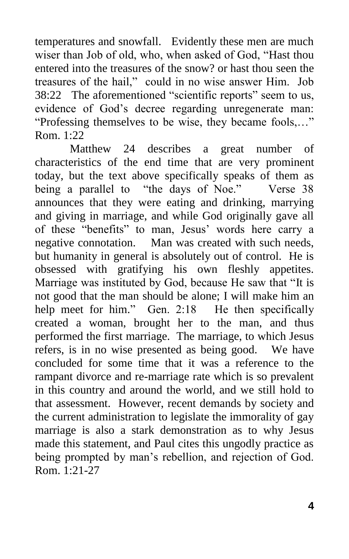temperatures and snowfall. Evidently these men are much wiser than Job of old, who, when asked of God, "Hast thou entered into the treasures of the snow? or hast thou seen the treasures of the hail," could in no wise answer Him. Job 38:22 The aforementioned "scientific reports" seem to us, evidence of God's decree regarding unregenerate man: "Professing themselves to be wise, they became fools,..." Rom. 1:22

 Matthew 24 describes a great number of characteristics of the end time that are very prominent today, but the text above specifically speaks of them as being a parallel to "the days of Noe." Verse 38 announces that they were eating and drinking, marrying and giving in marriage, and while God originally gave all of these "benefits" to man, Jesus' words here carry a negative connotation. Man was created with such needs, but humanity in general is absolutely out of control. He is obsessed with gratifying his own fleshly appetites. Marriage was instituted by God, because He saw that "It is not good that the man should be alone; I will make him an help meet for him." Gen. 2:18 He then specifically created a woman, brought her to the man, and thus performed the first marriage. The marriage, to which Jesus refers, is in no wise presented as being good. We have concluded for some time that it was a reference to the rampant divorce and re-marriage rate which is so prevalent in this country and around the world, and we still hold to that assessment. However, recent demands by society and the current administration to legislate the immorality of gay marriage is also a stark demonstration as to why Jesus made this statement, and Paul cites this ungodly practice as being prompted by man's rebellion, and rejection of God. Rom. 1:21-27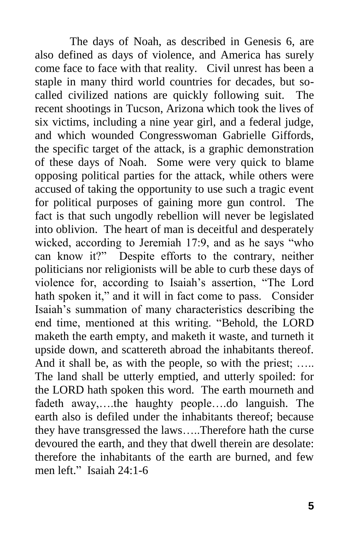The days of Noah, as described in Genesis 6, are also defined as days of violence, and America has surely come face to face with that reality. Civil unrest has been a staple in many third world countries for decades, but socalled civilized nations are quickly following suit. The recent shootings in Tucson, Arizona which took the lives of six victims, including a nine year girl, and a federal judge, and which wounded Congresswoman Gabrielle Giffords, the specific target of the attack, is a graphic demonstration of these days of Noah. Some were very quick to blame opposing political parties for the attack, while others were accused of taking the opportunity to use such a tragic event for political purposes of gaining more gun control. The fact is that such ungodly rebellion will never be legislated into oblivion. The heart of man is deceitful and desperately wicked, according to Jeremiah  $17:9$ , and as he says "who can know it?" Despite efforts to the contrary, neither politicians nor religionists will be able to curb these days of violence for, according to Isaiah's assertion, "The Lord hath spoken it," and it will in fact come to pass. Consider Isaiah's summation of many characteristics describing the end time, mentioned at this writing. "Behold, the LORD maketh the earth empty, and maketh it waste, and turneth it upside down, and scattereth abroad the inhabitants thereof. And it shall be, as with the people, so with the priest; ..... The land shall be utterly emptied, and utterly spoiled: for the LORD hath spoken this word. The earth mourneth and fadeth away,….the haughty people….do languish. The earth also is defiled under the inhabitants thereof; because they have transgressed the laws…..Therefore hath the curse devoured the earth, and they that dwell therein are desolate: therefore the inhabitants of the earth are burned, and few men left." Isaiah 24:1-6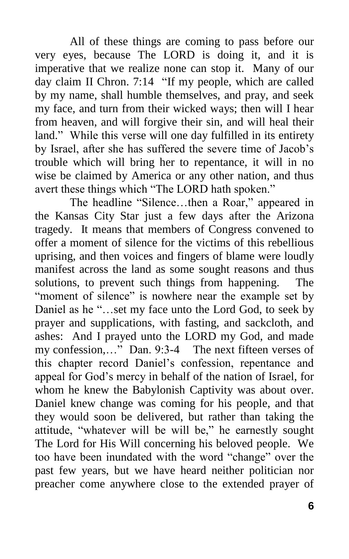All of these things are coming to pass before our very eyes, because The LORD is doing it, and it is imperative that we realize none can stop it. Many of our day claim II Chron.  $7:14$  "If my people, which are called by my name, shall humble themselves, and pray, and seek my face, and turn from their wicked ways; then will I hear from heaven, and will forgive their sin, and will heal their land." While this verse will one day fulfilled in its entirety by Israel, after she has suffered the severe time of Jacob's trouble which will bring her to repentance, it will in no wise be claimed by America or any other nation, and thus avert these things which "The LORD hath spoken."

The headline "Silence...then a Roar," appeared in the Kansas City Star just a few days after the Arizona tragedy. It means that members of Congress convened to offer a moment of silence for the victims of this rebellious uprising, and then voices and fingers of blame were loudly manifest across the land as some sought reasons and thus solutions, to prevent such things from happening. The "moment of silence" is nowhere near the example set by Daniel as he "...set my face unto the Lord God, to seek by prayer and supplications, with fasting, and sackcloth, and ashes: And I prayed unto the LORD my God, and made my confession,..." Dan. 9:3-4 The next fifteen verses of this chapter record Daniel's confession, repentance and appeal for God's mercy in behalf of the nation of Israel, for whom he knew the Babylonish Captivity was about over. Daniel knew change was coming for his people, and that they would soon be delivered, but rather than taking the attitude, "whatever will be will be," he earnestly sought The Lord for His Will concerning his beloved people. We too have been inundated with the word "change" over the past few years, but we have heard neither politician nor preacher come anywhere close to the extended prayer of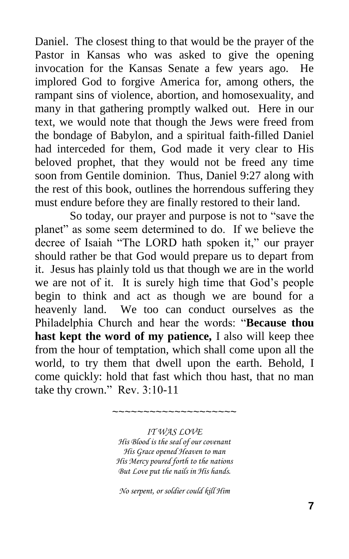Daniel. The closest thing to that would be the prayer of the Pastor in Kansas who was asked to give the opening invocation for the Kansas Senate a few years ago. He implored God to forgive America for, among others, the rampant sins of violence, abortion, and homosexuality, and many in that gathering promptly walked out. Here in our text, we would note that though the Jews were freed from the bondage of Babylon, and a spiritual faith-filled Daniel had interceded for them, God made it very clear to His beloved prophet, that they would not be freed any time soon from Gentile dominion. Thus, Daniel 9:27 along with the rest of this book, outlines the horrendous suffering they must endure before they are finally restored to their land.

So today, our prayer and purpose is not to "save the planet" as some seem determined to do. If we believe the decree of Isaiah "The LORD hath spoken it," our prayer should rather be that God would prepare us to depart from it. Jesus has plainly told us that though we are in the world we are not of it. It is surely high time that God's people begin to think and act as though we are bound for a heavenly land. We too can conduct ourselves as the Philadelphia Church and hear the words: "Because thou **hast kept the word of my patience,** I also will keep thee from the hour of temptation, which shall come upon all the world, to try them that dwell upon the earth. Behold, I come quickly: hold that fast which thou hast, that no man take thy crown." Rev.  $3:10-11$ 

> *IT WAS LOVE His Blood is the seal of our covenant His Grace opened Heaven to man His Mercy poured forth to the nations But Love put the nails in His hands.*

~~~~~~~~~~~~~~~~~~~~

*No serpent, or soldier could kill Him*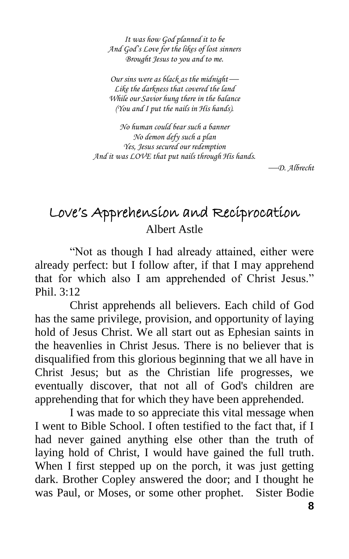*It was how God planned it to be And God's Love for the likes of lost sinners Brought Jesus to you and to me.*

*Our sins were as black as the midnight Like the darkness that covered the land While our Savior hung there in the balance (You and I put the nails in His hands).*

*No human could bear such a banner No demon defy such a plan Yes, Jesus secured our redemption And it was LOVE that put nails through His hands.*

*D. Albrecht*

# Love's Apprehension and Reciprocation Albert Astle

"Not as though I had already attained, either were already perfect: but I follow after, if that I may apprehend that for which also I am apprehended of Christ Jesus." Phil. 3:12

Christ apprehends all believers. Each child of God has the same privilege, provision, and opportunity of laying hold of Jesus Christ. We all start out as Ephesian saints in the heavenlies in Christ Jesus. There is no believer that is disqualified from this glorious beginning that we all have in Christ Jesus; but as the Christian life progresses, we eventually discover, that not all of God's children are apprehending that for which they have been apprehended.

I was made to so appreciate this vital message when I went to Bible School. I often testified to the fact that, if I had never gained anything else other than the truth of laying hold of Christ, I would have gained the full truth. When I first stepped up on the porch, it was just getting dark. Brother Copley answered the door; and I thought he was Paul, or Moses, or some other prophet. Sister Bodie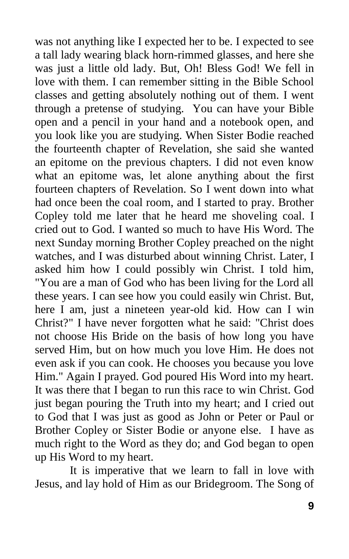was not anything like I expected her to be. I expected to see a tall lady wearing black horn-rimmed glasses, and here she was just a little old lady. But, Oh! Bless God! We fell in love with them. I can remember sitting in the Bible School classes and getting absolutely nothing out of them. I went through a pretense of studying. You can have your Bible open and a pencil in your hand and a notebook open, and you look like you are studying. When Sister Bodie reached the fourteenth chapter of Revelation, she said she wanted an epitome on the previous chapters. I did not even know what an epitome was, let alone anything about the first fourteen chapters of Revelation. So I went down into what had once been the coal room, and I started to pray. Brother Copley told me later that he heard me shoveling coal. I cried out to God. I wanted so much to have His Word. The next Sunday morning Brother Copley preached on the night watches, and I was disturbed about winning Christ. Later, I asked him how I could possibly win Christ. I told him, "You are a man of God who has been living for the Lord all these years. I can see how you could easily win Christ. But, here I am, just a nineteen year-old kid. How can I win Christ?" I have never forgotten what he said: "Christ does not choose His Bride on the basis of how long you have served Him, but on how much you love Him. He does not even ask if you can cook. He chooses you because you love Him." Again I prayed. God poured His Word into my heart. It was there that I began to run this race to win Christ. God just began pouring the Truth into my heart; and I cried out to God that I was just as good as John or Peter or Paul or Brother Copley or Sister Bodie or anyone else. I have as much right to the Word as they do; and God began to open up His Word to my heart.

It is imperative that we learn to fall in love with Jesus, and lay hold of Him as our Bridegroom. The Song of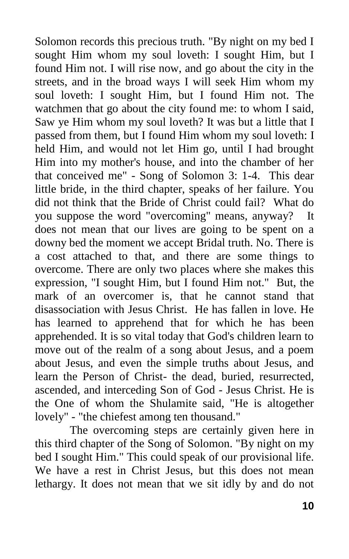Solomon records this precious truth. "By night on my bed I sought Him whom my soul loveth: I sought Him, but I found Him not. I will rise now, and go about the city in the streets, and in the broad ways I will seek Him whom my soul loveth: I sought Him, but I found Him not. The watchmen that go about the city found me: to whom I said, Saw ye Him whom my soul loveth? It was but a little that I passed from them, but I found Him whom my soul loveth: I held Him, and would not let Him go, until I had brought Him into my mother's house, and into the chamber of her that conceived me" - Song of Solomon 3: 1-4. This dear little bride, in the third chapter, speaks of her failure. You did not think that the Bride of Christ could fail? What do you suppose the word "overcoming" means, anyway? It does not mean that our lives are going to be spent on a downy bed the moment we accept Bridal truth. No. There is a cost attached to that, and there are some things to overcome. There are only two places where she makes this expression, "I sought Him, but I found Him not." But, the mark of an overcomer is, that he cannot stand that disassociation with Jesus Christ. He has fallen in love. He has learned to apprehend that for which he has been apprehended. It is so vital today that God's children learn to move out of the realm of a song about Jesus, and a poem about Jesus, and even the simple truths about Jesus, and learn the Person of Christ- the dead, buried, resurrected, ascended, and interceding Son of God - Jesus Christ. He is the One of whom the Shulamite said, "He is altogether lovely" - "the chiefest among ten thousand."

The overcoming steps are certainly given here in this third chapter of the Song of Solomon. "By night on my bed I sought Him." This could speak of our provisional life. We have a rest in Christ Jesus, but this does not mean lethargy. It does not mean that we sit idly by and do not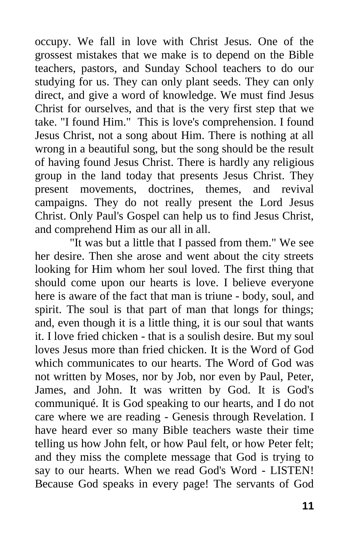occupy. We fall in love with Christ Jesus. One of the grossest mistakes that we make is to depend on the Bible teachers, pastors, and Sunday School teachers to do our studying for us. They can only plant seeds. They can only direct, and give a word of knowledge. We must find Jesus Christ for ourselves, and that is the very first step that we take. "I found Him." This is love's comprehension. I found Jesus Christ, not a song about Him. There is nothing at all wrong in a beautiful song, but the song should be the result of having found Jesus Christ. There is hardly any religious group in the land today that presents Jesus Christ. They present movements, doctrines, themes, and revival campaigns. They do not really present the Lord Jesus Christ. Only Paul's Gospel can help us to find Jesus Christ, and comprehend Him as our all in all.

"It was but a little that I passed from them." We see her desire. Then she arose and went about the city streets looking for Him whom her soul loved. The first thing that should come upon our hearts is love. I believe everyone here is aware of the fact that man is triune - body, soul, and spirit. The soul is that part of man that longs for things; and, even though it is a little thing, it is our soul that wants it. I love fried chicken - that is a soulish desire. But my soul loves Jesus more than fried chicken. It is the Word of God which communicates to our hearts. The Word of God was not written by Moses, nor by Job, nor even by Paul, Peter, James, and John. It was written by God. It is God's communiqué. It is God speaking to our hearts, and I do not care where we are reading - Genesis through Revelation. I have heard ever so many Bible teachers waste their time telling us how John felt, or how Paul felt, or how Peter felt; and they miss the complete message that God is trying to say to our hearts. When we read God's Word - LISTEN! Because God speaks in every page! The servants of God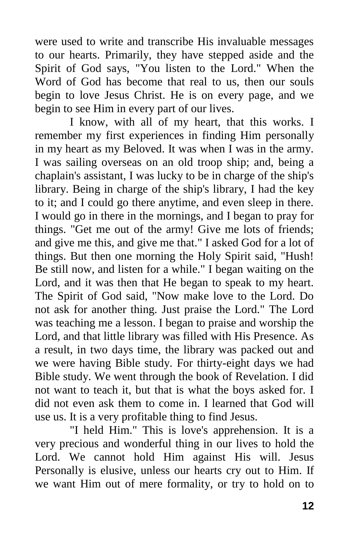were used to write and transcribe His invaluable messages to our hearts. Primarily, they have stepped aside and the Spirit of God says, "You listen to the Lord." When the Word of God has become that real to us, then our souls begin to love Jesus Christ. He is on every page, and we begin to see Him in every part of our lives.

I know, with all of my heart, that this works. I remember my first experiences in finding Him personally in my heart as my Beloved. It was when I was in the army. I was sailing overseas on an old troop ship; and, being a chaplain's assistant, I was lucky to be in charge of the ship's library. Being in charge of the ship's library, I had the key to it; and I could go there anytime, and even sleep in there. I would go in there in the mornings, and I began to pray for things. "Get me out of the army! Give me lots of friends; and give me this, and give me that." I asked God for a lot of things. But then one morning the Holy Spirit said, "Hush! Be still now, and listen for a while." I began waiting on the Lord, and it was then that He began to speak to my heart. The Spirit of God said, "Now make love to the Lord. Do not ask for another thing. Just praise the Lord." The Lord was teaching me a lesson. I began to praise and worship the Lord, and that little library was filled with His Presence. As a result, in two days time, the library was packed out and we were having Bible study. For thirty-eight days we had Bible study. We went through the book of Revelation. I did not want to teach it, but that is what the boys asked for. I did not even ask them to come in. I learned that God will use us. It is a very profitable thing to find Jesus.

"I held Him." This is love's apprehension. It is a very precious and wonderful thing in our lives to hold the Lord. We cannot hold Him against His will. Jesus Personally is elusive, unless our hearts cry out to Him. If we want Him out of mere formality, or try to hold on to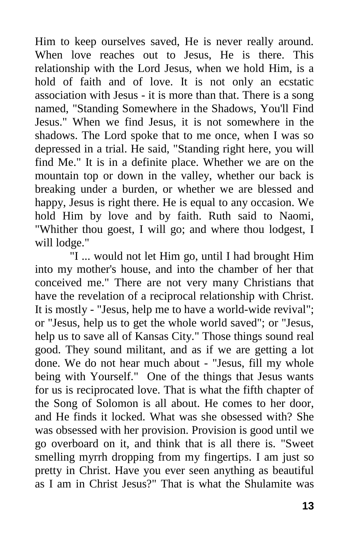Him to keep ourselves saved, He is never really around. When love reaches out to Jesus, He is there. This relationship with the Lord Jesus, when we hold Him, is a hold of faith and of love. It is not only an ecstatic association with Jesus - it is more than that. There is a song named, "Standing Somewhere in the Shadows, You'll Find Jesus." When we find Jesus, it is not somewhere in the shadows. The Lord spoke that to me once, when I was so depressed in a trial. He said, "Standing right here, you will find Me." It is in a definite place. Whether we are on the mountain top or down in the valley, whether our back is breaking under a burden, or whether we are blessed and happy, Jesus is right there. He is equal to any occasion. We hold Him by love and by faith. Ruth said to Naomi, "Whither thou goest, I will go; and where thou lodgest, I will lodge."

"I ... would not let Him go, until I had brought Him into my mother's house, and into the chamber of her that conceived me." There are not very many Christians that have the revelation of a reciprocal relationship with Christ. It is mostly - "Jesus, help me to have a world-wide revival"; or "Jesus, help us to get the whole world saved"; or "Jesus, help us to save all of Kansas City." Those things sound real good. They sound militant, and as if we are getting a lot done. We do not hear much about - "Jesus, fill my whole being with Yourself." One of the things that Jesus wants for us is reciprocated love. That is what the fifth chapter of the Song of Solomon is all about. He comes to her door, and He finds it locked. What was she obsessed with? She was obsessed with her provision. Provision is good until we go overboard on it, and think that is all there is. "Sweet smelling myrrh dropping from my fingertips. I am just so pretty in Christ. Have you ever seen anything as beautiful as I am in Christ Jesus?" That is what the Shulamite was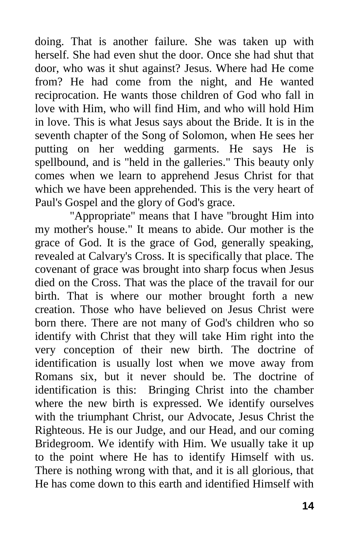doing. That is another failure. She was taken up with herself. She had even shut the door. Once she had shut that door, who was it shut against? Jesus. Where had He come from? He had come from the night, and He wanted reciprocation. He wants those children of God who fall in love with Him, who will find Him, and who will hold Him in love. This is what Jesus says about the Bride. It is in the seventh chapter of the Song of Solomon, when He sees her putting on her wedding garments. He says He is spellbound, and is "held in the galleries." This beauty only comes when we learn to apprehend Jesus Christ for that which we have been apprehended. This is the very heart of Paul's Gospel and the glory of God's grace.

"Appropriate" means that I have "brought Him into my mother's house." It means to abide. Our mother is the grace of God. It is the grace of God, generally speaking, revealed at Calvary's Cross. It is specifically that place. The covenant of grace was brought into sharp focus when Jesus died on the Cross. That was the place of the travail for our birth. That is where our mother brought forth a new creation. Those who have believed on Jesus Christ were born there. There are not many of God's children who so identify with Christ that they will take Him right into the very conception of their new birth. The doctrine of identification is usually lost when we move away from Romans six, but it never should be. The doctrine of identification is this: Bringing Christ into the chamber where the new birth is expressed. We identify ourselves with the triumphant Christ, our Advocate, Jesus Christ the Righteous. He is our Judge, and our Head, and our coming Bridegroom. We identify with Him. We usually take it up to the point where He has to identify Himself with us. There is nothing wrong with that, and it is all glorious, that He has come down to this earth and identified Himself with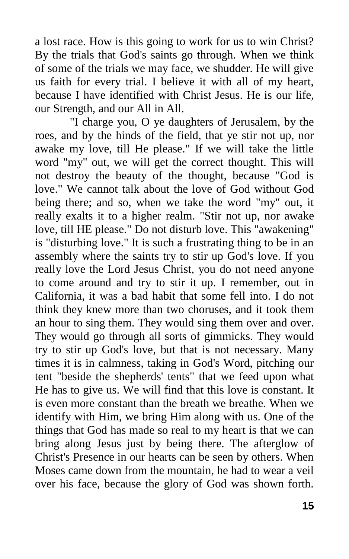a lost race. How is this going to work for us to win Christ? By the trials that God's saints go through. When we think of some of the trials we may face, we shudder. He will give us faith for every trial. I believe it with all of my heart, because I have identified with Christ Jesus. He is our life, our Strength, and our All in All.

"I charge you, O ye daughters of Jerusalem, by the roes, and by the hinds of the field, that ye stir not up, nor awake my love, till He please." If we will take the little word "my" out, we will get the correct thought. This will not destroy the beauty of the thought, because "God is love." We cannot talk about the love of God without God being there; and so, when we take the word "my" out, it really exalts it to a higher realm. "Stir not up, nor awake love, till HE please." Do not disturb love. This "awakening" is "disturbing love." It is such a frustrating thing to be in an assembly where the saints try to stir up God's love. If you really love the Lord Jesus Christ, you do not need anyone to come around and try to stir it up. I remember, out in California, it was a bad habit that some fell into. I do not think they knew more than two choruses, and it took them an hour to sing them. They would sing them over and over. They would go through all sorts of gimmicks. They would try to stir up God's love, but that is not necessary. Many times it is in calmness, taking in God's Word, pitching our tent "beside the shepherds' tents" that we feed upon what He has to give us. We will find that this love is constant. It is even more constant than the breath we breathe. When we identify with Him, we bring Him along with us. One of the things that God has made so real to my heart is that we can bring along Jesus just by being there. The afterglow of Christ's Presence in our hearts can be seen by others. When Moses came down from the mountain, he had to wear a veil over his face, because the glory of God was shown forth.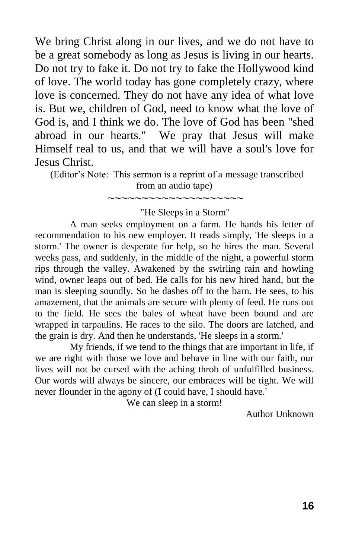We bring Christ along in our lives, and we do not have to be a great somebody as long as Jesus is living in our hearts. Do not try to fake it. Do not try to fake the Hollywood kind of love. The world today has gone completely crazy, where love is concerned. They do not have any idea of what love is. But we, children of God, need to know what the love of God is, and I think we do. The love of God has been "shed abroad in our hearts." We pray that Jesus will make Himself real to us, and that we will have a soul's love for Jesus Christ.

 (Editor's Note: This sermon is a reprint of a message transcribed from an audio tape) ~~~~~~~~~~~~~~~~~~~~

"He Sleeps in a Storm"

A man seeks employment on a farm. He hands his letter of recommendation to his new employer. It reads simply, 'He sleeps in a storm.' The owner is desperate for help, so he hires the man. Several weeks pass, and suddenly, in the middle of the night, a powerful storm rips through the valley. Awakened by the swirling rain and howling wind, owner leaps out of bed. He calls for his new hired hand, but the man is sleeping soundly. So he dashes off to the barn. He sees, to his amazement, that the animals are secure with plenty of feed. He runs out to the field. He sees the bales of wheat have been bound and are wrapped in tarpaulins. He races to the silo. The doors are latched, and the grain is dry. And then he understands, 'He sleeps in a storm.'

My friends, if we tend to the things that are important in life, if we are right with those we love and behave in line with our faith, our lives will not be cursed with the aching throb of unfulfilled business. Our words will always be sincere, our embraces will be tight. We will never flounder in the agony of (I could have, I should have.'

We can sleep in a storm!

Author Unknown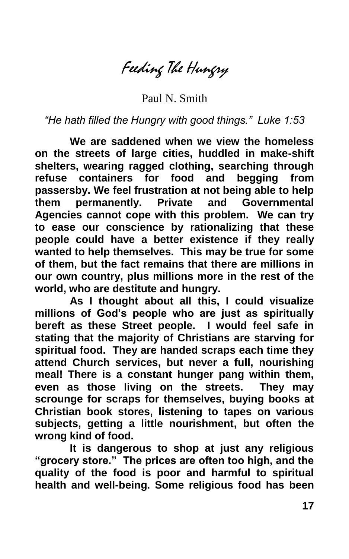Feeding The Hungry

Paul N. Smith

*"He hath filled the Hungry with good things." Luke 1:53*

**We are saddened when we view the homeless on the streets of large cities, huddled in make-shift shelters, wearing ragged clothing, searching through refuse containers for food and begging from passersby. We feel frustration at not being able to help them permanently. Private and Governmental Agencies cannot cope with this problem. We can try to ease our conscience by rationalizing that these people could have a better existence if they really wanted to help themselves. This may be true for some of them, but the fact remains that there are millions in our own country, plus millions more in the rest of the world, who are destitute and hungry.**

**As I thought about all this, I could visualize millions of God's people who are just as spiritually bereft as these Street people. I would feel safe in stating that the majority of Christians are starving for spiritual food. They are handed scraps each time they attend Church services, but never a full, nourishing meal! There is a constant hunger pang within them, even as those living on the streets. They may scrounge for scraps for themselves, buying books at Christian book stores, listening to tapes on various subjects, getting a little nourishment, but often the wrong kind of food.**

**It is dangerous to shop at just any religious "grocery store." The prices are often too high, and the quality of the food is poor and harmful to spiritual health and well-being. Some religious food has been**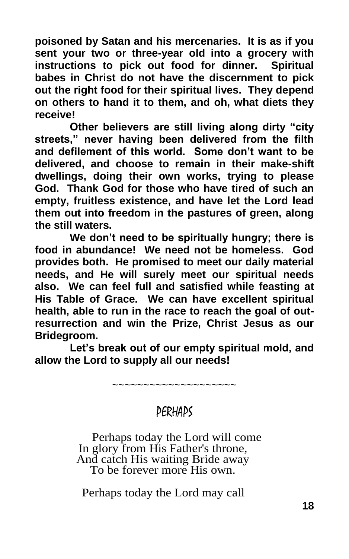**poisoned by Satan and his mercenaries. It is as if you sent your two or three-year old into a grocery with instructions to pick out food for dinner. Spiritual babes in Christ do not have the discernment to pick out the right food for their spiritual lives. They depend on others to hand it to them, and oh, what diets they receive!**

**Other believers are still living along dirty "city streets," never having been delivered from the filth and defilement of this world. Some don't want to be delivered, and choose to remain in their make-shift dwellings, doing their own works, trying to please God. Thank God for those who have tired of such an empty, fruitless existence, and have let the Lord lead them out into freedom in the pastures of green, along the still waters.**

**We don't need to be spiritually hungry; there is food in abundance! We need not be homeless. God provides both. He promised to meet our daily material needs, and He will surely meet our spiritual needs also. We can feel full and satisfied while feasting at His Table of Grace. We can have excellent spiritual health, able to run in the race to reach the goal of outresurrection and win the Prize, Christ Jesus as our Bridegroom.**

**Let's break out of our empty spiritual mold, and allow the Lord to supply all our needs!**

~~~~~~~~~~~~~~~

## PERHAPS

Perhaps today the Lord will come In glory from His Father's throne, And catch His waiting Bride away To be forever more His own.

Perhaps today the Lord may call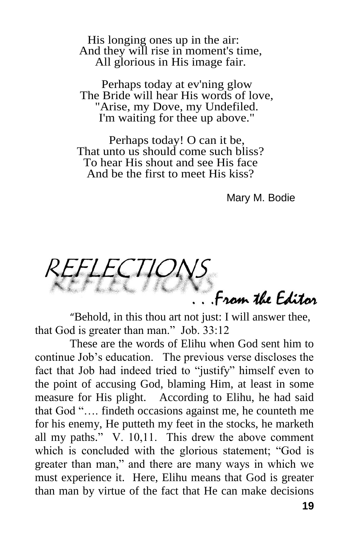His longing ones up in the air: And they will rise in moment's time, All glorious in His image fair.

Perhaps today at ev'ning glow The Bride will hear His words of love, "Arise, my Dove, my Undefiled. I'm waiting for thee up above."

Perhaps today! O can it be, That unto us should come such bliss? To hear His shout and see His face And be the first to meet His kiss?

Mary M. Bodie

From the Editor

"Behold, in this thou art not just: I will answer thee, that God is greater than man." Job. 33:12

These are the words of Elihu when God sent him to continue Job's education. The previous verse discloses the fact that Job had indeed tried to "justify" himself even to the point of accusing God, blaming Him, at least in some measure for His plight. According to Elihu, he had said that God ".... findeth occasions against me, he counteth me for his enemy, He putteth my feet in the stocks, he marketh all my paths."  $V. 10,11$ . This drew the above comment which is concluded with the glorious statement; "God is greater than man," and there are many ways in which we must experience it. Here, Elihu means that God is greater than man by virtue of the fact that He can make decisions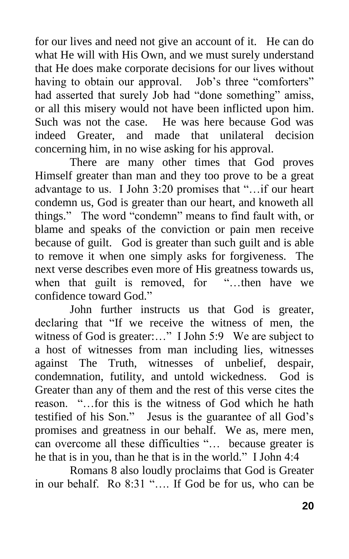for our lives and need not give an account of it. He can do what He will with His Own, and we must surely understand that He does make corporate decisions for our lives without having to obtain our approval. Job's three "comforters" had asserted that surely Job had "done something" amiss, or all this misery would not have been inflicted upon him. Such was not the case. He was here because God was indeed Greater, and made that unilateral decision concerning him, in no wise asking for his approval.

There are many other times that God proves Himself greater than man and they too prove to be a great advantage to us. I John 3:20 promises that "...if our heart condemn us, God is greater than our heart, and knoweth all things." The word "condemn" means to find fault with, or blame and speaks of the conviction or pain men receive because of guilt. God is greater than such guilt and is able to remove it when one simply asks for forgiveness. The next verse describes even more of His greatness towards us, when that guilt is removed, for "...then have we confidence toward God."

John further instructs us that God is greater, declaring that "If we receive the witness of men, the witness of God is greater:..." I John 5:9 We are subject to a host of witnesses from man including lies, witnesses against The Truth, witnesses of unbelief, despair, condemnation, futility, and untold wickedness. God is Greater than any of them and the rest of this verse cites the reason. "...for this is the witness of God which he hath testified of his Son." Jesus is the guarantee of all God's promises and greatness in our behalf. We as, mere men, can overcome all these difficulties "... because greater is he that is in you, than he that is in the world." I John  $4:4$ 

Romans 8 also loudly proclaims that God is Greater in our behalf. Ro 8:31 ".... If God be for us, who can be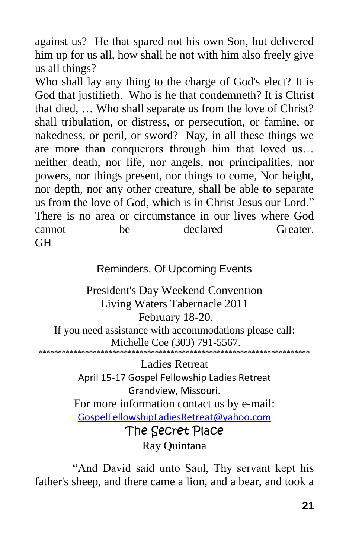against us? He that spared not his own Son, but delivered him up for us all, how shall he not with him also freely give us all things?

Who shall lay any thing to the charge of God's elect? It is God that justifieth. Who is he that condemneth? It is Christ that died, … Who shall separate us from the love of Christ? shall tribulation, or distress, or persecution, or famine, or nakedness, or peril, or sword? Nay, in all these things we are more than conquerors through him that loved us… neither death, nor life, nor angels, nor principalities, nor powers, nor things present, nor things to come, Nor height, nor depth, nor any other creature, shall be able to separate us from the love of God, which is in Christ Jesus our Lord." There is no area or circumstance in our lives where God cannot be declared Greater. GH

### Reminders, Of Upcoming Events

President's Day Weekend Convention Living Waters Tabernacle 2011 February 18-20. If you need assistance with accommodations please call: Michelle Coe (303) 791-5567. \*\*\*\*\*\*\*\*\*\*\*\*\*\*\*\*\*\*\*\*\*\*\*\*\*\*\*\*\*\*\*\*\*\*\*\*\*\*\*\*\*\*\*\*\*\*\*\*\*\*\*\*\*\*\*\*\*\*\*\*\*\*\*\*\*\*\*\*\*\*

> Ladies Retreat April 15-17 Gospel Fellowship Ladies Retreat Grandview, Missouri. For more information contact us by e-mail: [GospelFellowshipLadiesRetreat@yahoo.com](mailto:gospelfellowshipretreat@yahoo.com) The Secret Place Ray Quintana

"And David said unto Saul, Thy servant kept his father's sheep, and there came a lion, and a bear, and took a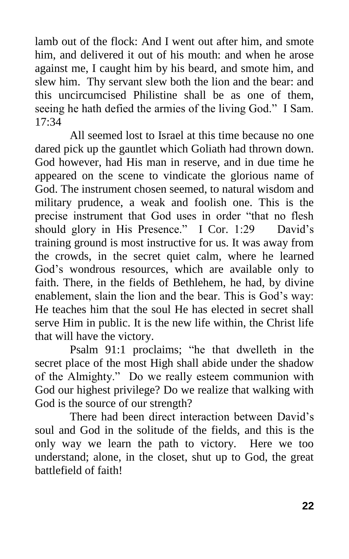lamb out of the flock: And I went out after him, and smote him, and delivered it out of his mouth: and when he arose against me, I caught him by his beard, and smote him, and slew him. Thy servant slew both the lion and the bear: and this uncircumcised Philistine shall be as one of them, seeing he hath defied the armies of the living God." I Sam. 17:34

All seemed lost to Israel at this time because no one dared pick up the gauntlet which Goliath had thrown down. God however, had His man in reserve, and in due time he appeared on the scene to vindicate the glorious name of God. The instrument chosen seemed, to natural wisdom and military prudence, a weak and foolish one. This is the precise instrument that God uses in order "that no flesh" should glory in His Presence." I Cor. 1:29 David's training ground is most instructive for us. It was away from the crowds, in the secret quiet calm, where he learned God's wondrous resources, which are available only to faith. There, in the fields of Bethlehem, he had, by divine enablement, slain the lion and the bear. This is God's way: He teaches him that the soul He has elected in secret shall serve Him in public. It is the new life within, the Christ life that will have the victory.

Psalm 91:1 proclaims; "he that dwelleth in the secret place of the most High shall abide under the shadow of the Almighty." Do we really esteem communion with God our highest privilege? Do we realize that walking with God is the source of our strength?

There had been direct interaction between David's soul and God in the solitude of the fields, and this is the only way we learn the path to victory. Here we too understand; alone, in the closet, shut up to God, the great battlefield of faith!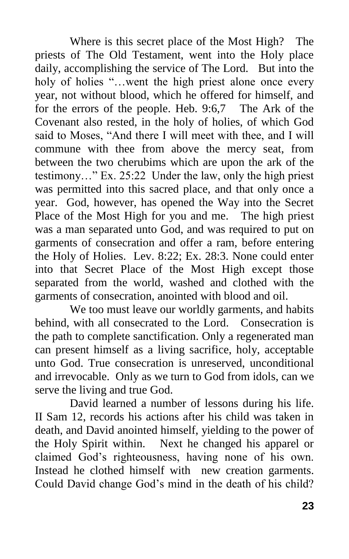Where is this secret place of the Most High? The priests of The Old Testament, went into the Holy place daily, accomplishing the service of The Lord. But into the holy of holies "...went the high priest alone once every year, not without blood, which he offered for himself, and for the errors of the people. Heb. 9:6,7 The Ark of the Covenant also rested, in the holy of holies, of which God said to Moses, "And there I will meet with thee, and I will commune with thee from above the mercy seat, from between the two cherubims which are upon the ark of the testimony..." Ex. 25:22 Under the law, only the high priest was permitted into this sacred place, and that only once a year. God, however, has opened the Way into the Secret Place of the Most High for you and me. The high priest was a man separated unto God, and was required to put on garments of consecration and offer a ram, before entering the Holy of Holies. Lev. 8:22; Ex. 28:3. None could enter into that Secret Place of the Most High except those separated from the world, washed and clothed with the garments of consecration, anointed with blood and oil.

We too must leave our worldly garments, and habits behind, with all consecrated to the Lord. Consecration is the path to complete sanctification. Only a regenerated man can present himself as a living sacrifice, holy, acceptable unto God. True consecration is unreserved, unconditional and irrevocable. Only as we turn to God from idols, can we serve the living and true God.

David learned a number of lessons during his life. II Sam 12, records his actions after his child was taken in death, and David anointed himself, yielding to the power of the Holy Spirit within. Next he changed his apparel or claimed God's righteousness, having none of his own. Instead he clothed himself with new creation garments. Could David change God's mind in the death of his child?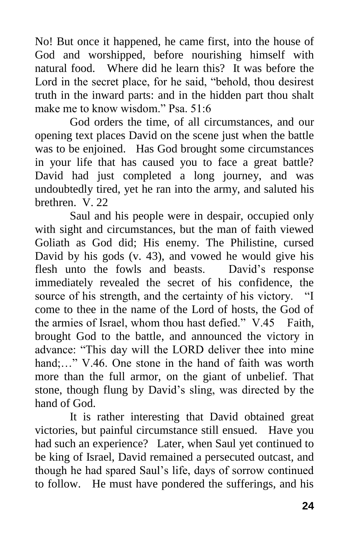No! But once it happened, he came first, into the house of God and worshipped, before nourishing himself with natural food. Where did he learn this? It was before the Lord in the secret place, for he said, "behold, thou desirest truth in the inward parts: and in the hidden part thou shalt make me to know wisdom." Psa. 51:6

God orders the time, of all circumstances, and our opening text places David on the scene just when the battle was to be enjoined. Has God brought some circumstances in your life that has caused you to face a great battle? David had just completed a long journey, and was undoubtedly tired, yet he ran into the army, and saluted his brethren. V. 22

Saul and his people were in despair, occupied only with sight and circumstances, but the man of faith viewed Goliath as God did; His enemy. The Philistine, cursed David by his gods (v. 43), and vowed he would give his flesh unto the fowls and beasts. David's response immediately revealed the secret of his confidence, the source of his strength, and the certainty of his victory. "I come to thee in the name of the Lord of hosts, the God of the armies of Israel, whom thou hast defied." V.45 Faith, brought God to the battle, and announced the victory in advance: "This day will the LORD deliver thee into mine hand:..." V.46. One stone in the hand of faith was worth more than the full armor, on the giant of unbelief. That stone, though flung by David's sling, was directed by the hand of God.

It is rather interesting that David obtained great victories, but painful circumstance still ensued. Have you had such an experience? Later, when Saul yet continued to be king of Israel, David remained a persecuted outcast, and though he had spared Saul's life, days of sorrow continued to follow. He must have pondered the sufferings, and his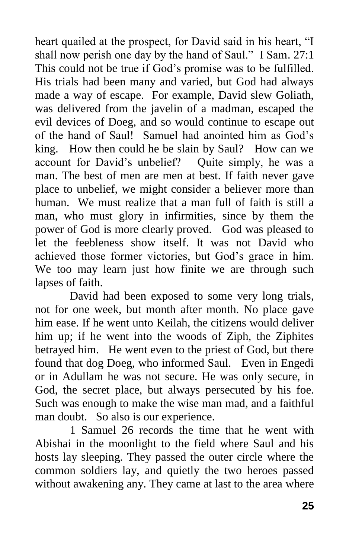heart quailed at the prospect, for David said in his heart, "I shall now perish one day by the hand of Saul." I Sam. 27:1 This could not be true if God's promise was to be fulfilled. His trials had been many and varied, but God had always made a way of escape. For example, David slew Goliath, was delivered from the javelin of a madman, escaped the evil devices of Doeg, and so would continue to escape out of the hand of Saul! Samuel had anointed him as God's king. How then could he be slain by Saul? How can we account for David's unbelief? Quite simply, he was a man. The best of men are men at best. If faith never gave place to unbelief, we might consider a believer more than human. We must realize that a man full of faith is still a man, who must glory in infirmities, since by them the power of God is more clearly proved. God was pleased to let the feebleness show itself. It was not David who achieved those former victories, but God's grace in him. We too may learn just how finite we are through such lapses of faith.

David had been exposed to some very long trials, not for one week, but month after month. No place gave him ease. If he went unto Keilah, the citizens would deliver him up; if he went into the woods of Ziph, the Ziphites betrayed him. He went even to the priest of God, but there found that dog Doeg, who informed Saul. Even in Engedi or in Adullam he was not secure. He was only secure, in God, the secret place, but always persecuted by his foe. Such was enough to make the wise man mad, and a faithful man doubt. So also is our experience.

1 Samuel 26 records the time that he went with Abishai in the moonlight to the field where Saul and his hosts lay sleeping. They passed the outer circle where the common soldiers lay, and quietly the two heroes passed without awakening any. They came at last to the area where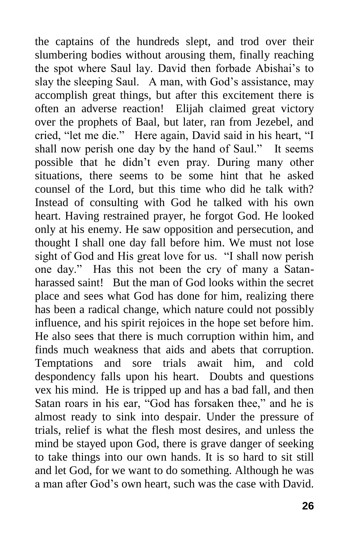the captains of the hundreds slept, and trod over their slumbering bodies without arousing them, finally reaching the spot where Saul lay. David then forbade Abishai's to slay the sleeping Saul. A man, with God's assistance, may accomplish great things, but after this excitement there is often an adverse reaction! Elijah claimed great victory over the prophets of Baal, but later, ran from Jezebel, and cried, "let me die." Here again, David said in his heart, "I shall now perish one day by the hand of Saul." It seems possible that he didn't even pray. During many other situations, there seems to be some hint that he asked counsel of the Lord, but this time who did he talk with? Instead of consulting with God he talked with his own heart. Having restrained prayer, he forgot God. He looked only at his enemy. He saw opposition and persecution, and thought I shall one day fall before him. We must not lose sight of God and His great love for us. "I shall now perish one day.‖ Has this not been the cry of many a Satanharassed saint! But the man of God looks within the secret place and sees what God has done for him, realizing there has been a radical change, which nature could not possibly influence, and his spirit rejoices in the hope set before him. He also sees that there is much corruption within him, and finds much weakness that aids and abets that corruption. Temptations and sore trials await him, and cold despondency falls upon his heart. Doubts and questions vex his mind. He is tripped up and has a bad fall, and then Satan roars in his ear, "God has forsaken thee," and he is almost ready to sink into despair. Under the pressure of trials, relief is what the flesh most desires, and unless the mind be stayed upon God, there is grave danger of seeking to take things into our own hands. It is so hard to sit still and let God, for we want to do something. Although he was a man after God's own heart, such was the case with David.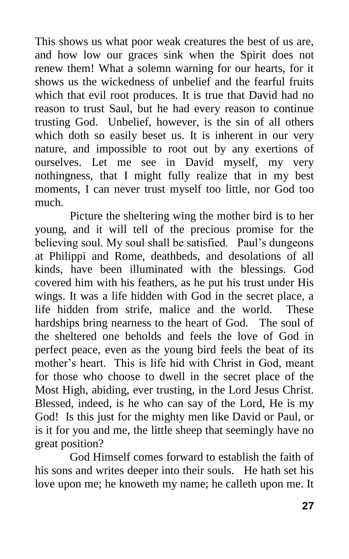This shows us what poor weak creatures the best of us are, and how low our graces sink when the Spirit does not renew them! What a solemn warning for our hearts, for it shows us the wickedness of unbelief and the fearful fruits which that evil root produces. It is true that David had no reason to trust Saul, but he had every reason to continue trusting God. Unbelief, however, is the sin of all others which doth so easily beset us. It is inherent in our very nature, and impossible to root out by any exertions of ourselves. Let me see in David myself, my very nothingness, that I might fully realize that in my best moments, I can never trust myself too little, nor God too much.

Picture the sheltering wing the mother bird is to her young, and it will tell of the precious promise for the believing soul. My soul shall be satisfied. Paul's dungeons at Philippi and Rome, deathbeds, and desolations of all kinds, have been illuminated with the blessings. God covered him with his feathers, as he put his trust under His wings. It was a life hidden with God in the secret place, a life hidden from strife, malice and the world. These hardships bring nearness to the heart of God. The soul of the sheltered one beholds and feels the love of God in perfect peace, even as the young bird feels the beat of its mother's heart. This is life hid with Christ in God, meant for those who choose to dwell in the secret place of the Most High, abiding, ever trusting, in the Lord Jesus Christ. Blessed, indeed, is he who can say of the Lord, He is my God! Is this just for the mighty men like David or Paul, or is it for you and me, the little sheep that seemingly have no great position?

God Himself comes forward to establish the faith of his sons and writes deeper into their souls. He hath set his love upon me; he knoweth my name; he calleth upon me. It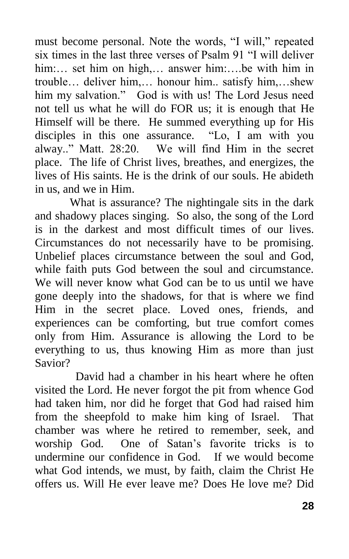must become personal. Note the words, "I will," repeated six times in the last three verses of Psalm 91 "I will deliver him:... set him on high,... answer him:....be with him in trouble… deliver him,… honour him.. satisfy him,…shew him my salvation." God is with us! The Lord Jesus need not tell us what he will do FOR us; it is enough that He Himself will be there. He summed everything up for His disciples in this one assurance. "Lo, I am with you alway.." Matt. 28:20. We will find Him in the secret place. The life of Christ lives, breathes, and energizes, the lives of His saints. He is the drink of our souls. He abideth in us, and we in Him.

What is assurance? The nightingale sits in the dark and shadowy places singing. So also, the song of the Lord is in the darkest and most difficult times of our lives. Circumstances do not necessarily have to be promising. Unbelief places circumstance between the soul and God, while faith puts God between the soul and circumstance. We will never know what God can be to us until we have gone deeply into the shadows, for that is where we find Him in the secret place. Loved ones, friends, and experiences can be comforting, but true comfort comes only from Him. Assurance is allowing the Lord to be everything to us, thus knowing Him as more than just Savior?

 David had a chamber in his heart where he often visited the Lord. He never forgot the pit from whence God had taken him, nor did he forget that God had raised him from the sheepfold to make him king of Israel. That chamber was where he retired to remember, seek, and worship God. One of Satan's favorite tricks is to undermine our confidence in God. If we would become what God intends, we must, by faith, claim the Christ He offers us. Will He ever leave me? Does He love me? Did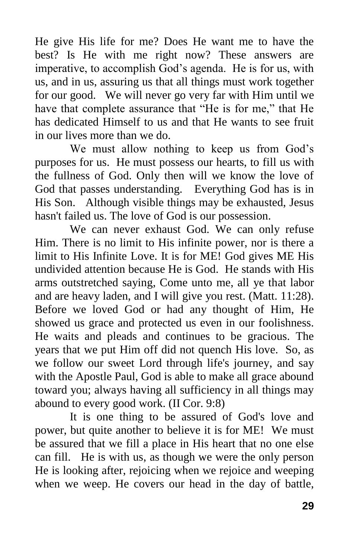He give His life for me? Does He want me to have the best? Is He with me right now? These answers are imperative, to accomplish God's agenda. He is for us, with us, and in us, assuring us that all things must work together for our good. We will never go very far with Him until we have that complete assurance that "He is for me," that He has dedicated Himself to us and that He wants to see fruit in our lives more than we do.

We must allow nothing to keep us from God's purposes for us. He must possess our hearts, to fill us with the fullness of God. Only then will we know the love of God that passes understanding. Everything God has is in His Son. Although visible things may be exhausted, Jesus hasn't failed us. The love of God is our possession.

We can never exhaust God. We can only refuse Him. There is no limit to His infinite power, nor is there a limit to His Infinite Love. It is for ME! God gives ME His undivided attention because He is God. He stands with His arms outstretched saying, Come unto me, all ye that labor and are heavy laden, and I will give you rest. (Matt. 11:28). Before we loved God or had any thought of Him, He showed us grace and protected us even in our foolishness. He waits and pleads and continues to be gracious. The years that we put Him off did not quench His love. So, as we follow our sweet Lord through life's journey, and say with the Apostle Paul, God is able to make all grace abound toward you; always having all sufficiency in all things may abound to every good work. (II Cor. 9:8)

It is one thing to be assured of God's love and power, but quite another to believe it is for ME! We must be assured that we fill a place in His heart that no one else can fill. He is with us, as though we were the only person He is looking after, rejoicing when we rejoice and weeping when we weep. He covers our head in the day of battle,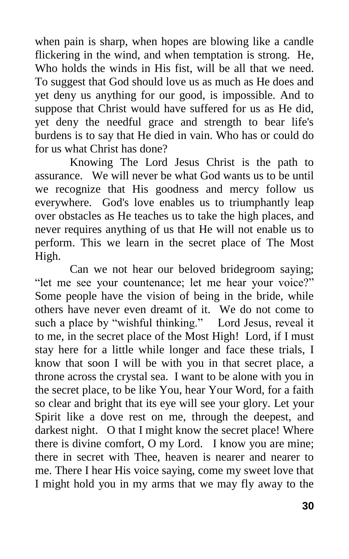when pain is sharp, when hopes are blowing like a candle flickering in the wind, and when temptation is strong. He, Who holds the winds in His fist, will be all that we need. To suggest that God should love us as much as He does and yet deny us anything for our good, is impossible. And to suppose that Christ would have suffered for us as He did, yet deny the needful grace and strength to bear life's burdens is to say that He died in vain. Who has or could do for us what Christ has done?

Knowing The Lord Jesus Christ is the path to assurance. We will never be what God wants us to be until we recognize that His goodness and mercy follow us everywhere. God's love enables us to triumphantly leap over obstacles as He teaches us to take the high places, and never requires anything of us that He will not enable us to perform. This we learn in the secret place of The Most High.

Can we not hear our beloved bridegroom saying; "let me see your countenance; let me hear your voice?" Some people have the vision of being in the bride, while others have never even dreamt of it. We do not come to such a place by "wishful thinking." Lord Jesus, reveal it to me, in the secret place of the Most High! Lord, if I must stay here for a little while longer and face these trials, I know that soon I will be with you in that secret place, a throne across the crystal sea. I want to be alone with you in the secret place, to be like You, hear Your Word, for a faith so clear and bright that its eye will see your glory. Let your Spirit like a dove rest on me, through the deepest, and darkest night. O that I might know the secret place! Where there is divine comfort, O my Lord. I know you are mine; there in secret with Thee, heaven is nearer and nearer to me. There I hear His voice saying, come my sweet love that I might hold you in my arms that we may fly away to the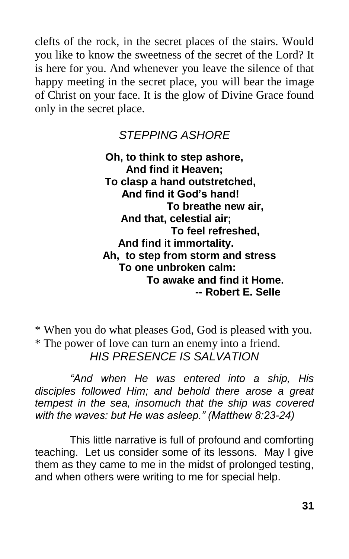clefts of the rock, in the secret places of the stairs. Would you like to know the sweetness of the secret of the Lord? It is here for you. And whenever you leave the silence of that happy meeting in the secret place, you will bear the image of Christ on your face. It is the glow of Divine Grace found only in the secret place.

## *STEPPING ASHORE*

**Oh, to think to step ashore, And find it Heaven; To clasp a hand outstretched, And find it God's hand! To breathe new air, And that, celestial air; To feel refreshed, And find it immortality. Ah, to step from storm and stress To one unbroken calm: To awake and find it Home. -- Robert E. Selle**

\* When you do what pleases God, God is pleased with you. \* The power of love can turn an enemy into a friend. *HIS PRESENCE IS SALVATION*

*"And when He was entered into a ship, His disciples followed Him; and behold there arose a great tempest in the sea, insomuch that the ship was covered with the waves: but He was asleep." (Matthew 8:23-24)*

This little narrative is full of profound and comforting teaching. Let us consider some of its lessons. May I give them as they came to me in the midst of prolonged testing, and when others were writing to me for special help.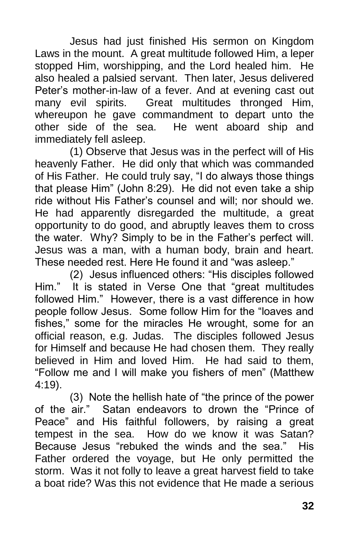Jesus had just finished His sermon on Kingdom Laws in the mount. A great multitude followed Him, a leper stopped Him, worshipping, and the Lord healed him. He also healed a palsied servant. Then later, Jesus delivered Peter's mother-in-law of a fever. And at evening cast out many evil spirits. Great multitudes thronged Him, whereupon he gave commandment to depart unto the other side of the sea. He went aboard ship and immediately fell asleep.

(1) Observe that Jesus was in the perfect will of His heavenly Father. He did only that which was commanded of His Father. He could truly say, "I do always those things that please Him" (John 8:29). He did not even take a ship ride without His Father's counsel and will; nor should we. He had apparently disregarded the multitude, a great opportunity to do good, and abruptly leaves them to cross the water. Why? Simply to be in the Father's perfect will. Jesus was a man, with a human body, brain and heart. These needed rest. Here He found it and "was asleep."

(2) Jesus influenced others: "His disciples followed Him." It is stated in Verse One that "great multitudes followed Him." However, there is a vast difference in how people follow Jesus. Some follow Him for the "loaves and fishes," some for the miracles He wrought, some for an official reason, e.g. Judas. The disciples followed Jesus for Himself and because He had chosen them. They really believed in Him and loved Him. He had said to them, "Follow me and I will make you fishers of men" (Matthew 4:19).

(3) Note the hellish hate of "the prince of the power of the air." Satan endeavors to drown the "Prince of Peace" and His faithful followers, by raising a great tempest in the sea. How do we know it was Satan? Because Jesus "rebuked the winds and the sea." His Father ordered the voyage, but He only permitted the storm. Was it not folly to leave a great harvest field to take a boat ride? Was this not evidence that He made a serious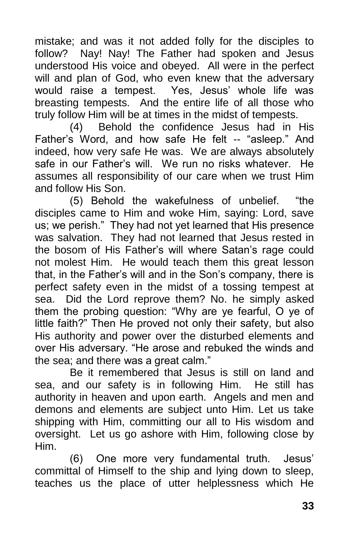mistake; and was it not added folly for the disciples to follow? Nay! Nay! The Father had spoken and Jesus understood His voice and obeyed. All were in the perfect will and plan of God, who even knew that the adversary would raise a tempest. Yes, Jesus' whole life was breasting tempests. And the entire life of all those who truly follow Him will be at times in the midst of tempests.

(4) Behold the confidence Jesus had in His Father's Word, and how safe He felt -- "asleep." And indeed, how very safe He was. We are always absolutely safe in our Father's will. We run no risks whatever. He assumes all responsibility of our care when we trust Him and follow His Son.

(5) Behold the wakefulness of unbelief. "the disciples came to Him and woke Him, saying: Lord, save us; we perish." They had not yet learned that His presence was salvation. They had not learned that Jesus rested in the bosom of His Father's will where Satan's rage could not molest Him. He would teach them this great lesson that, in the Father's will and in the Son's company, there is perfect safety even in the midst of a tossing tempest at sea. Did the Lord reprove them? No. he simply asked them the probing question: "Why are ye fearful, O ye of little faith?" Then He proved not only their safety, but also His authority and power over the disturbed elements and over His adversary. "He arose and rebuked the winds and the sea; and there was a great calm."

Be it remembered that Jesus is still on land and sea, and our safety is in following Him. He still has authority in heaven and upon earth. Angels and men and demons and elements are subject unto Him. Let us take shipping with Him, committing our all to His wisdom and oversight. Let us go ashore with Him, following close by Him.

(6) One more very fundamental truth. Jesus' committal of Himself to the ship and lying down to sleep, teaches us the place of utter helplessness which He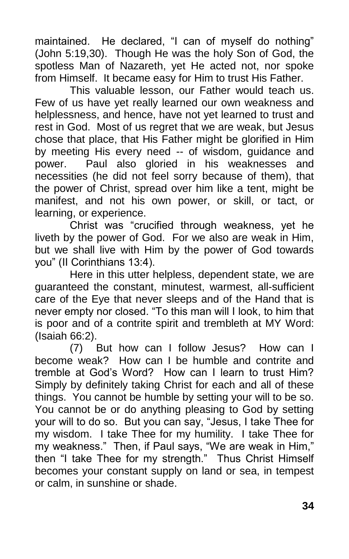maintained. He declared, "I can of myself do nothing" (John 5:19,30). Though He was the holy Son of God, the spotless Man of Nazareth, yet He acted not, nor spoke from Himself. It became easy for Him to trust His Father.

This valuable lesson, our Father would teach us. Few of us have yet really learned our own weakness and helplessness, and hence, have not yet learned to trust and rest in God. Most of us regret that we are weak, but Jesus chose that place, that His Father might be glorified in Him by meeting His every need -- of wisdom, guidance and power. Paul also gloried in his weaknesses and necessities (he did not feel sorry because of them), that the power of Christ, spread over him like a tent, might be manifest, and not his own power, or skill, or tact, or learning, or experience.

Christ was "crucified through weakness, yet he liveth by the power of God. For we also are weak in Him, but we shall live with Him by the power of God towards you" (II Corinthians 13:4).

Here in this utter helpless, dependent state, we are guaranteed the constant, minutest, warmest, all-sufficient care of the Eye that never sleeps and of the Hand that is never empty nor closed. "To this man will I look, to him that is poor and of a contrite spirit and trembleth at MY Word: (Isaiah 66:2).

(7) But how can I follow Jesus? How can I become weak? How can I be humble and contrite and tremble at God's Word? How can I learn to trust Him? Simply by definitely taking Christ for each and all of these things. You cannot be humble by setting your will to be so. You cannot be or do anything pleasing to God by setting your will to do so. But you can say, "Jesus, I take Thee for my wisdom. I take Thee for my humility. I take Thee for my weakness." Then, if Paul says, "We are weak in Him," then "I take Thee for my strength." Thus Christ Himself becomes your constant supply on land or sea, in tempest or calm, in sunshine or shade.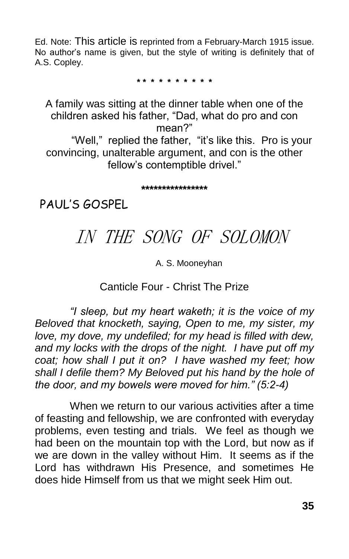Ed. Note: This article is reprinted from a February-March 1915 issue. No author's name is given, but the style of writing is definitely that of A.S. Copley.

**\* \* \* \* \* \* \* \* \* \***

A family was sitting at the dinner table when one of the children asked his father, "Dad, what do pro and con mean?" "Well," replied the father, "it's like this. Pro is your

convincing, unalterable argument, and con is the other fellow's contemptible drivel."

**\*\*\*\*\*\*\*\*\*\*\*\*\*\*\*\***

PAUL'S GOSPEL

# IN THE SONG OF SOLOMON

#### A. S. Mooneyhan

### Canticle Four - Christ The Prize

*"I sleep, but my heart waketh; it is the voice of my Beloved that knocketh, saying, Open to me, my sister, my love, my dove, my undefiled; for my head is filled with dew, and my locks with the drops of the night. I have put off my coat; how shall I put it on? I have washed my feet; how shall I defile them? My Beloved put his hand by the hole of the door, and my bowels were moved for him." (5:2-4)*

When we return to our various activities after a time of feasting and fellowship, we are confronted with everyday problems, even testing and trials. We feel as though we had been on the mountain top with the Lord, but now as if we are down in the valley without Him. It seems as if the Lord has withdrawn His Presence, and sometimes He does hide Himself from us that we might seek Him out.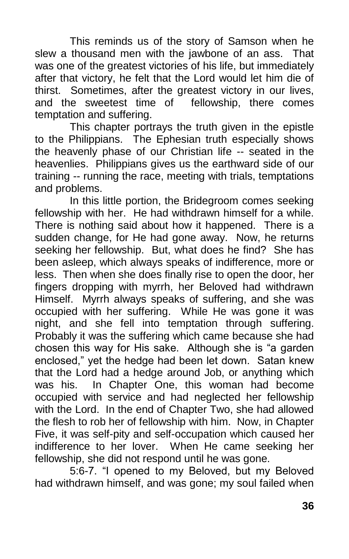This reminds us of the story of Samson when he slew a thousand men with the jawbone of an ass. That was one of the greatest victories of his life, but immediately after that victory, he felt that the Lord would let him die of thirst. Sometimes, after the greatest victory in our lives, and the sweetest time of fellowship, there comes temptation and suffering.

This chapter portrays the truth given in the epistle to the Philippians. The Ephesian truth especially shows the heavenly phase of our Christian life -- seated in the heavenlies. Philippians gives us the earthward side of our training -- running the race, meeting with trials, temptations and problems.

In this little portion, the Bridegroom comes seeking fellowship with her. He had withdrawn himself for a while. There is nothing said about how it happened. There is a sudden change, for He had gone away. Now, he returns seeking her fellowship. But, what does he find? She has been asleep, which always speaks of indifference, more or less. Then when she does finally rise to open the door, her fingers dropping with myrrh, her Beloved had withdrawn Himself. Myrrh always speaks of suffering, and she was occupied with her suffering. While He was gone it was night, and she fell into temptation through suffering. Probably it was the suffering which came because she had chosen this way for His sake. Although she is "a garden enclosed," yet the hedge had been let down. Satan knew that the Lord had a hedge around Job, or anything which was his. In Chapter One, this woman had become occupied with service and had neglected her fellowship with the Lord. In the end of Chapter Two, she had allowed the flesh to rob her of fellowship with him. Now, in Chapter Five, it was self-pity and self-occupation which caused her indifference to her lover. When He came seeking her fellowship, she did not respond until he was gone.

5:6-7. "I opened to my Beloved, but my Beloved had withdrawn himself, and was gone; my soul failed when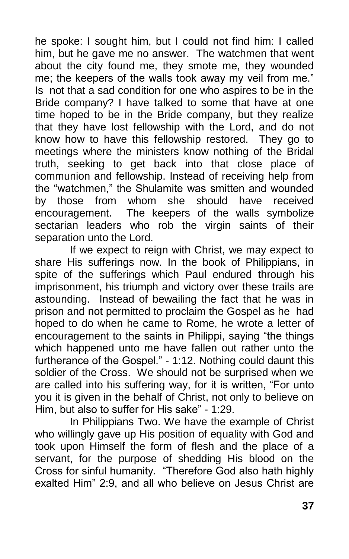he spoke: I sought him, but I could not find him: I called him, but he gave me no answer. The watchmen that went about the city found me, they smote me, they wounded me; the keepers of the walls took away my veil from me." Is not that a sad condition for one who aspires to be in the Bride company? I have talked to some that have at one time hoped to be in the Bride company, but they realize that they have lost fellowship with the Lord, and do not know how to have this fellowship restored. They go to meetings where the ministers know nothing of the Bridal truth, seeking to get back into that close place of communion and fellowship. Instead of receiving help from the "watchmen," the Shulamite was smitten and wounded by those from whom she should have received encouragement. The keepers of the walls symbolize sectarian leaders who rob the virgin saints of their separation unto the Lord.

If we expect to reign with Christ, we may expect to share His sufferings now. In the book of Philippians, in spite of the sufferings which Paul endured through his imprisonment, his triumph and victory over these trails are astounding. Instead of bewailing the fact that he was in prison and not permitted to proclaim the Gospel as he had hoped to do when he came to Rome, he wrote a letter of encouragement to the saints in Philippi, saying "the things which happened unto me have fallen out rather unto the furtherance of the Gospel." - 1:12. Nothing could daunt this soldier of the Cross. We should not be surprised when we are called into his suffering way, for it is written, "For unto you it is given in the behalf of Christ, not only to believe on Him, but also to suffer for His sake" - 1:29.

In Philippians Two. We have the example of Christ who willingly gave up His position of equality with God and took upon Himself the form of flesh and the place of a servant, for the purpose of shedding His blood on the Cross for sinful humanity. "Therefore God also hath highly exalted Him" 2:9, and all who believe on Jesus Christ are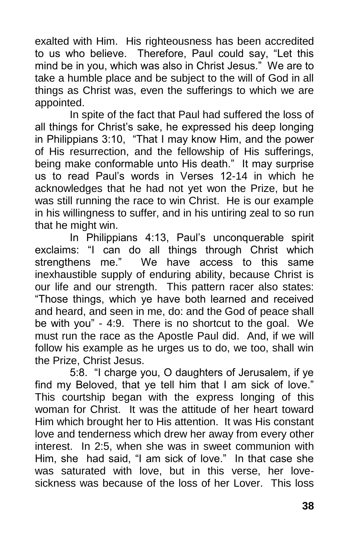exalted with Him. His righteousness has been accredited to us who believe. Therefore, Paul could say, "Let this mind be in you, which was also in Christ Jesus." We are to take a humble place and be subject to the will of God in all things as Christ was, even the sufferings to which we are appointed.

In spite of the fact that Paul had suffered the loss of all things for Christ's sake, he expressed his deep longing in Philippians 3:10, "That I may know Him, and the power of His resurrection, and the fellowship of His sufferings, being make conformable unto His death." It may surprise us to read Paul's words in Verses 12-14 in which he acknowledges that he had not yet won the Prize, but he was still running the race to win Christ. He is our example in his willingness to suffer, and in his untiring zeal to so run that he might win.

In Philippians 4:13, Paul's unconquerable spirit exclaims: "I can do all things through Christ which strengthens me." We have access to this same inexhaustible supply of enduring ability, because Christ is our life and our strength. This pattern racer also states: "Those things, which ye have both learned and received and heard, and seen in me, do: and the God of peace shall be with you" - 4:9. There is no shortcut to the goal. We must run the race as the Apostle Paul did. And, if we will follow his example as he urges us to do, we too, shall win the Prize, Christ Jesus.

5:8. "I charge you, O daughters of Jerusalem, if ye find my Beloved, that ye tell him that I am sick of love." This courtship began with the express longing of this woman for Christ. It was the attitude of her heart toward Him which brought her to His attention. It was His constant love and tenderness which drew her away from every other interest. In 2:5, when she was in sweet communion with Him, she had said, "I am sick of love." In that case she was saturated with love, but in this verse, her lovesickness was because of the loss of her Lover. This loss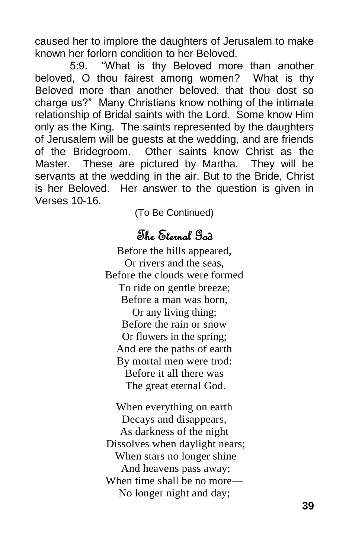caused her to implore the daughters of Jerusalem to make known her forlorn condition to her Beloved.

5:9. "What is thy Beloved more than another beloved, O thou fairest among women? What is thy Beloved more than another beloved, that thou dost so charge us?" Many Christians know nothing of the intimate relationship of Bridal saints with the Lord. Some know Him only as the King. The saints represented by the daughters of Jerusalem will be guests at the wedding, and are friends of the Bridegroom. Other saints know Christ as the Master. These are pictured by Martha. They will be servants at the wedding in the air. But to the Bride, Christ is her Beloved. Her answer to the question is given in Verses 10-16.

(To Be Continued)

## The Eternal God

Before the hills appeared, Or rivers and the seas, Before the clouds were formed To ride on gentle breeze; Before a man was born, Or any living thing; Before the rain or snow Or flowers in the spring; And ere the paths of earth By mortal men were trod: Before it all there was The great eternal God.

When everything on earth Decays and disappears, As darkness of the night Dissolves when daylight nears; When stars no longer shine And heavens pass away; When time shall be no more— No longer night and day;